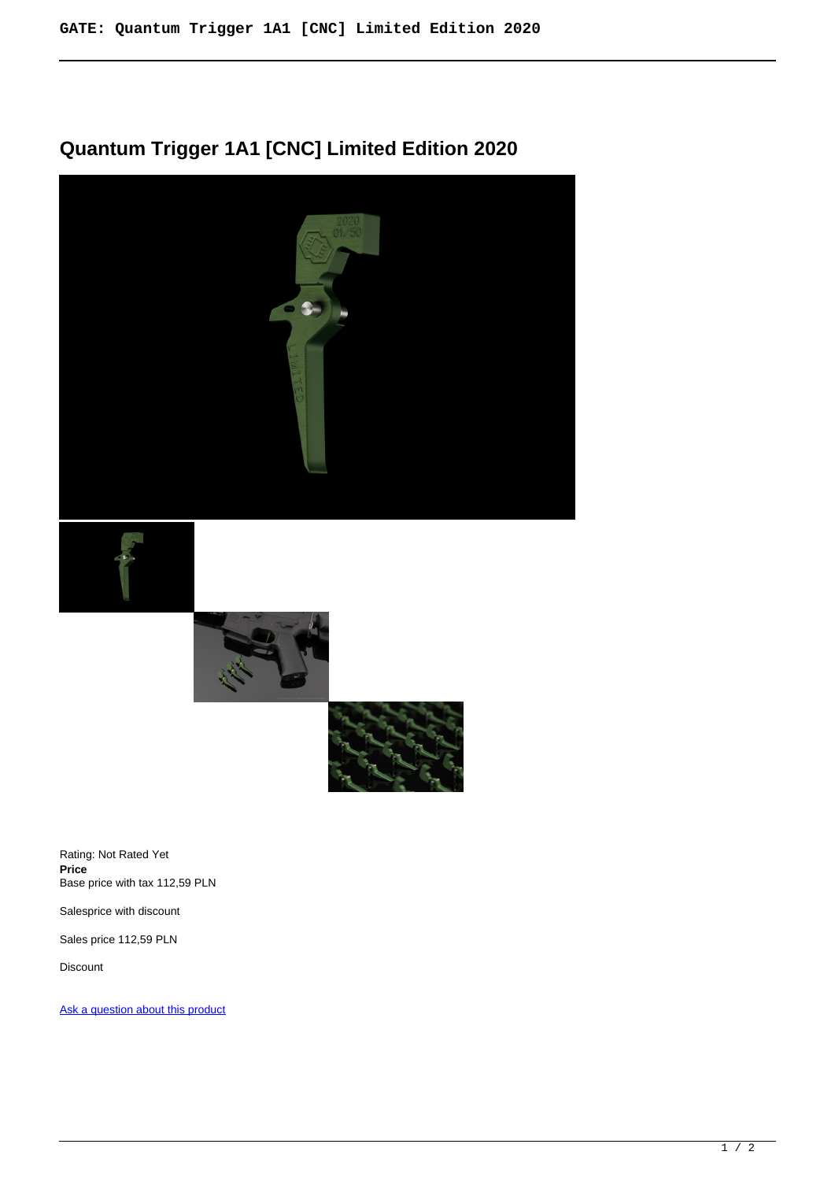## **Quantum Trigger 1A1 [CNC] Limited Edition 2020**









Rating: Not Rated Yet **Price**  Base price with tax 112,59 PLN

Salesprice with discount

Sales price 112,59 PLN

Discount

[Ask a question about this product](https://www.gatee.eu/index.php?option=com_virtuemart&view=productdetails&task=askquestion&virtuemart_product_id=68&virtuemart_category_id=1&tmpl=component)